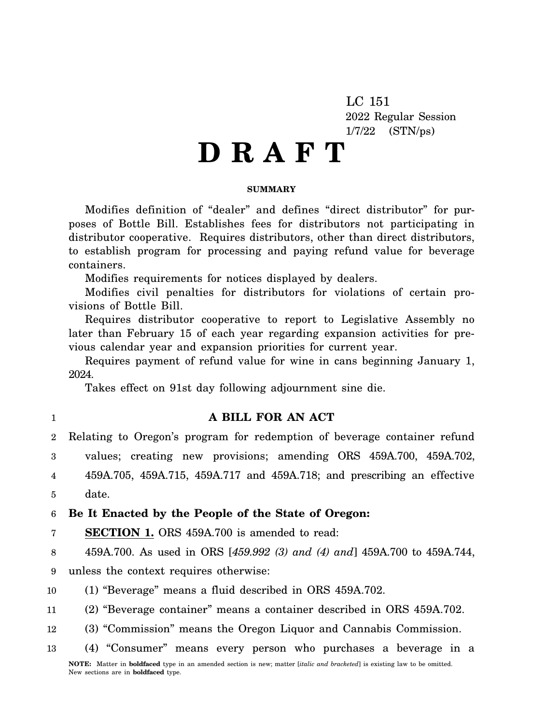LC 151 2022 Regular Session 1/7/22 (STN/ps)

# **D R A F T**

### **SUMMARY**

Modifies definition of "dealer" and defines "direct distributor" for purposes of Bottle Bill. Establishes fees for distributors not participating in distributor cooperative. Requires distributors, other than direct distributors, to establish program for processing and paying refund value for beverage containers.

Modifies requirements for notices displayed by dealers.

Modifies civil penalties for distributors for violations of certain provisions of Bottle Bill.

Requires distributor cooperative to report to Legislative Assembly no later than February 15 of each year regarding expansion activities for previous calendar year and expansion priorities for current year.

Requires payment of refund value for wine in cans beginning January 1, 2024.

Takes effect on 91st day following adjournment sine die.

1

# **A BILL FOR AN ACT**

2 3 4 5 Relating to Oregon's program for redemption of beverage container refund values; creating new provisions; amending ORS 459A.700, 459A.702, 459A.705, 459A.715, 459A.717 and 459A.718; and prescribing an effective date.

6 **Be It Enacted by the People of the State of Oregon:**

7 **SECTION 1.** ORS 459A.700 is amended to read:

8 459A.700. As used in ORS [*459.992 (3) and (4) and*] 459A.700 to 459A.744,

9 unless the context requires otherwise:

10 (1) "Beverage" means a fluid described in ORS 459A.702.

11 (2) "Beverage container" means a container described in ORS 459A.702.

12 (3) "Commission" means the Oregon Liquor and Cannabis Commission.

13 (4) "Consumer" means every person who purchases a beverage in a **NOTE:** Matter in **boldfaced** type in an amended section is new; matter [*italic and bracketed*] is existing law to be omitted.

New sections are in **boldfaced** type.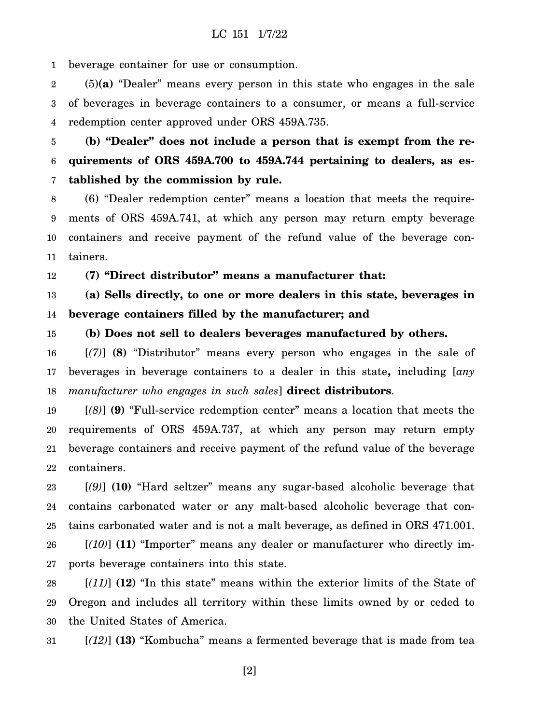1 beverage container for use or consumption.

2 3 4 (5)**(a)** "Dealer" means every person in this state who engages in the sale of beverages in beverage containers to a consumer, or means a full-service redemption center approved under ORS 459A.735.

5 6 7 **(b) "Dealer" does not include a person that is exempt from the requirements of ORS 459A.700 to 459A.744 pertaining to dealers, as established by the commission by rule.**

8 9 10 11 (6) "Dealer redemption center" means a location that meets the requirements of ORS 459A.741, at which any person may return empty beverage containers and receive payment of the refund value of the beverage containers.

12 **(7) "Direct distributor" means a manufacturer that:**

13 14 **(a) Sells directly, to one or more dealers in this state, beverages in beverage containers filled by the manufacturer; and**

15 **(b) Does not sell to dealers beverages manufactured by others.**

16 17 18 [*(7)*] **(8)** "Distributor" means every person who engages in the sale of beverages in beverage containers to a dealer in this state**,** including [*any manufacturer who engages in such sales*] **direct distributors**.

19 20 21 22 [*(8)*] **(9)** "Full-service redemption center" means a location that meets the requirements of ORS 459A.737, at which any person may return empty beverage containers and receive payment of the refund value of the beverage containers.

23 24 25 26 27 [*(9)*] **(10)** "Hard seltzer" means any sugar-based alcoholic beverage that contains carbonated water or any malt-based alcoholic beverage that contains carbonated water and is not a malt beverage, as defined in ORS 471.001. [*(10)*] **(11)** "Importer" means any dealer or manufacturer who directly imports beverage containers into this state.

28 29 30 [*(11)*] **(12)** "In this state" means within the exterior limits of the State of Oregon and includes all territory within these limits owned by or ceded to the United States of America.

31 [*(12)*] **(13)** "Kombucha" means a fermented beverage that is made from tea

[2]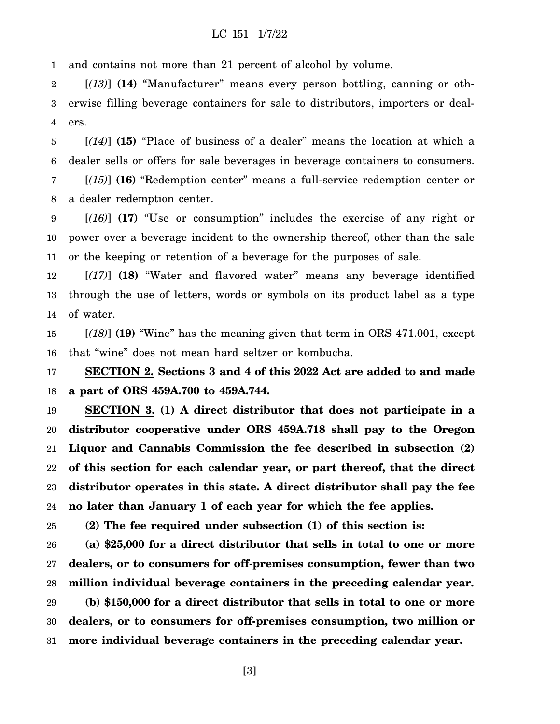1 and contains not more than 21 percent of alcohol by volume.

2 3 4 [*(13)*] **(14)** "Manufacturer" means every person bottling, canning or otherwise filling beverage containers for sale to distributors, importers or dealers.

5 6 [*(14)*] **(15)** "Place of business of a dealer" means the location at which a dealer sells or offers for sale beverages in beverage containers to consumers.

7 8 [*(15)*] **(16)** "Redemption center" means a full-service redemption center or a dealer redemption center.

9 10 11 [*(16)*] **(17)** "Use or consumption" includes the exercise of any right or power over a beverage incident to the ownership thereof, other than the sale or the keeping or retention of a beverage for the purposes of sale.

12 13 14 [*(17)*] **(18)** "Water and flavored water" means any beverage identified through the use of letters, words or symbols on its product label as a type of water.

15 16 [*(18)*] **(19)** "Wine" has the meaning given that term in ORS 471.001, except that "wine" does not mean hard seltzer or kombucha.

17 18 **SECTION 2. Sections 3 and 4 of this 2022 Act are added to and made a part of ORS 459A.700 to 459A.744.**

19 20 21 22 23 24 **SECTION 3. (1) A direct distributor that does not participate in a distributor cooperative under ORS 459A.718 shall pay to the Oregon Liquor and Cannabis Commission the fee described in subsection (2) of this section for each calendar year, or part thereof, that the direct distributor operates in this state. A direct distributor shall pay the fee no later than January 1 of each year for which the fee applies.**

25 **(2) The fee required under subsection (1) of this section is:**

26 27 28 29 30 31 **(a) \$25,000 for a direct distributor that sells in total to one or more dealers, or to consumers for off-premises consumption, fewer than two million individual beverage containers in the preceding calendar year. (b) \$150,000 for a direct distributor that sells in total to one or more dealers, or to consumers for off-premises consumption, two million or more individual beverage containers in the preceding calendar year.**

[3]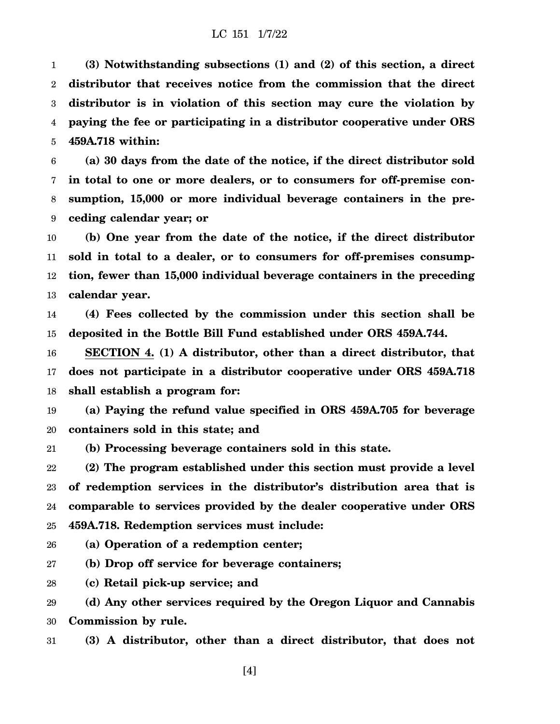1 2 3 4 5 **(3) Notwithstanding subsections (1) and (2) of this section, a direct distributor that receives notice from the commission that the direct distributor is in violation of this section may cure the violation by paying the fee or participating in a distributor cooperative under ORS 459A.718 within:**

6 7 8 9 **(a) 30 days from the date of the notice, if the direct distributor sold in total to one or more dealers, or to consumers for off-premise consumption, 15,000 or more individual beverage containers in the preceding calendar year; or**

10 11 12 13 **(b) One year from the date of the notice, if the direct distributor sold in total to a dealer, or to consumers for off-premises consumption, fewer than 15,000 individual beverage containers in the preceding calendar year.**

14 15 **(4) Fees collected by the commission under this section shall be deposited in the Bottle Bill Fund established under ORS 459A.744.**

16 17 18 **SECTION 4. (1) A distributor, other than a direct distributor, that does not participate in a distributor cooperative under ORS 459A.718 shall establish a program for:**

19 20 **(a) Paying the refund value specified in ORS 459A.705 for beverage containers sold in this state; and**

21 **(b) Processing beverage containers sold in this state.**

22 23 24 25 **(2) The program established under this section must provide a level of redemption services in the distributor's distribution area that is comparable to services provided by the dealer cooperative under ORS 459A.718. Redemption services must include:**

26 **(a) Operation of a redemption center;**

27 **(b) Drop off service for beverage containers;**

28 **(c) Retail pick-up service; and**

29 30 **(d) Any other services required by the Oregon Liquor and Cannabis Commission by rule.**

31 **(3) A distributor, other than a direct distributor, that does not**

[4]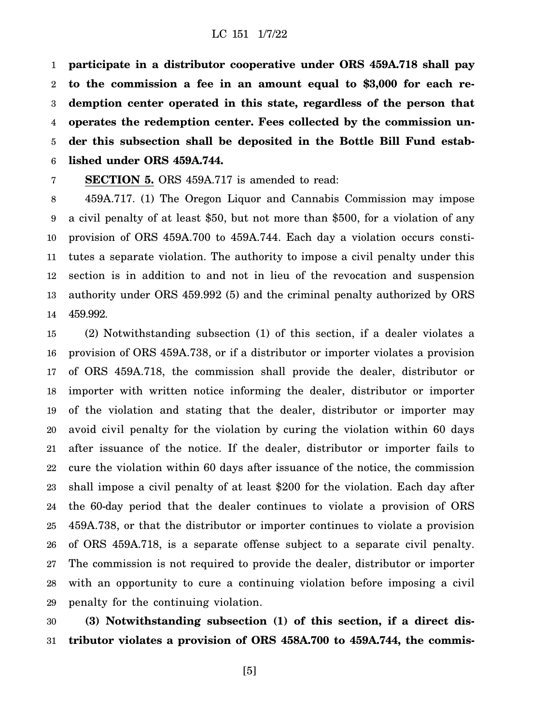1 2 3 4 5 6 **participate in a distributor cooperative under ORS 459A.718 shall pay to the commission a fee in an amount equal to \$3,000 for each redemption center operated in this state, regardless of the person that operates the redemption center. Fees collected by the commission under this subsection shall be deposited in the Bottle Bill Fund established under ORS 459A.744.**

7 **SECTION 5.** ORS 459A.717 is amended to read:

8 9 10 11 12 13 14 459A.717. (1) The Oregon Liquor and Cannabis Commission may impose a civil penalty of at least \$50, but not more than \$500, for a violation of any provision of ORS 459A.700 to 459A.744. Each day a violation occurs constitutes a separate violation. The authority to impose a civil penalty under this section is in addition to and not in lieu of the revocation and suspension authority under ORS 459.992 (5) and the criminal penalty authorized by ORS 459.992.

15 16 17 18 19 20 21 22 23 24 25 26 27 28 29 (2) Notwithstanding subsection (1) of this section, if a dealer violates a provision of ORS 459A.738, or if a distributor or importer violates a provision of ORS 459A.718, the commission shall provide the dealer, distributor or importer with written notice informing the dealer, distributor or importer of the violation and stating that the dealer, distributor or importer may avoid civil penalty for the violation by curing the violation within 60 days after issuance of the notice. If the dealer, distributor or importer fails to cure the violation within 60 days after issuance of the notice, the commission shall impose a civil penalty of at least \$200 for the violation. Each day after the 60-day period that the dealer continues to violate a provision of ORS 459A.738, or that the distributor or importer continues to violate a provision of ORS 459A.718, is a separate offense subject to a separate civil penalty. The commission is not required to provide the dealer, distributor or importer with an opportunity to cure a continuing violation before imposing a civil penalty for the continuing violation.

30 31 **(3) Notwithstanding subsection (1) of this section, if a direct distributor violates a provision of ORS 458A.700 to 459A.744, the commis-**

[5]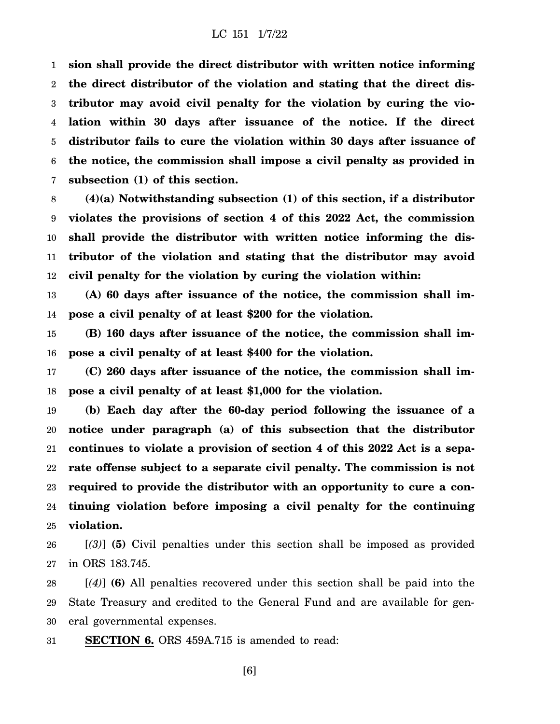1 2 3 4 5 6 7 **sion shall provide the direct distributor with written notice informing the direct distributor of the violation and stating that the direct distributor may avoid civil penalty for the violation by curing the violation within 30 days after issuance of the notice. If the direct distributor fails to cure the violation within 30 days after issuance of the notice, the commission shall impose a civil penalty as provided in subsection (1) of this section.**

8 9 10 11 12 **(4)(a) Notwithstanding subsection (1) of this section, if a distributor violates the provisions of section 4 of this 2022 Act, the commission shall provide the distributor with written notice informing the distributor of the violation and stating that the distributor may avoid civil penalty for the violation by curing the violation within:**

13 14 **(A) 60 days after issuance of the notice, the commission shall impose a civil penalty of at least \$200 for the violation.**

15 16 **(B) 160 days after issuance of the notice, the commission shall impose a civil penalty of at least \$400 for the violation.**

17 18 **(C) 260 days after issuance of the notice, the commission shall impose a civil penalty of at least \$1,000 for the violation.**

19 20 21 22 23 24 25 **(b) Each day after the 60-day period following the issuance of a notice under paragraph (a) of this subsection that the distributor continues to violate a provision of section 4 of this 2022 Act is a separate offense subject to a separate civil penalty. The commission is not required to provide the distributor with an opportunity to cure a continuing violation before imposing a civil penalty for the continuing violation.**

26 27 [*(3)*] **(5)** Civil penalties under this section shall be imposed as provided in ORS 183.745.

28 29 30 [*(4)*] **(6)** All penalties recovered under this section shall be paid into the State Treasury and credited to the General Fund and are available for general governmental expenses.

31 **SECTION 6.** ORS 459A.715 is amended to read:

[6]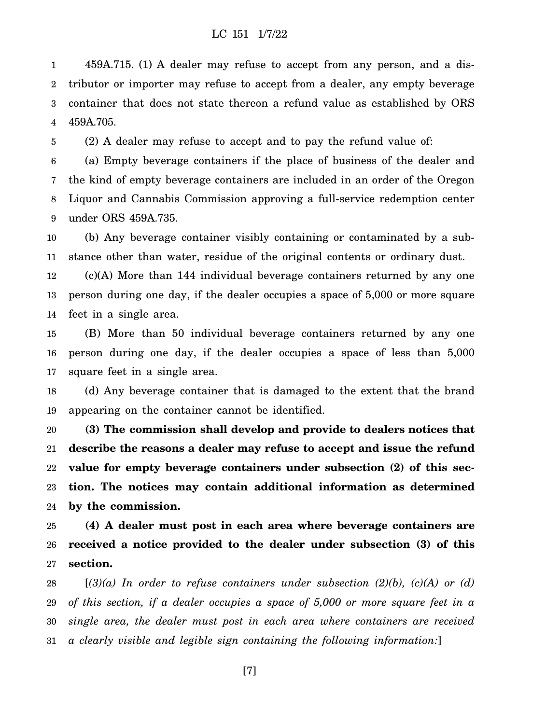1 2 3 4 459A.715. (1) A dealer may refuse to accept from any person, and a distributor or importer may refuse to accept from a dealer, any empty beverage container that does not state thereon a refund value as established by ORS 459A.705.

5 (2) A dealer may refuse to accept and to pay the refund value of:

6 7 8 9 (a) Empty beverage containers if the place of business of the dealer and the kind of empty beverage containers are included in an order of the Oregon Liquor and Cannabis Commission approving a full-service redemption center under ORS 459A.735.

10 11 (b) Any beverage container visibly containing or contaminated by a substance other than water, residue of the original contents or ordinary dust.

12 13 14 (c)(A) More than 144 individual beverage containers returned by any one person during one day, if the dealer occupies a space of 5,000 or more square feet in a single area.

15 16 17 (B) More than 50 individual beverage containers returned by any one person during one day, if the dealer occupies a space of less than 5,000 square feet in a single area.

18 19 (d) Any beverage container that is damaged to the extent that the brand appearing on the container cannot be identified.

20 21 22 23 24 **(3) The commission shall develop and provide to dealers notices that describe the reasons a dealer may refuse to accept and issue the refund value for empty beverage containers under subsection (2) of this section. The notices may contain additional information as determined by the commission.**

25 26 27 **(4) A dealer must post in each area where beverage containers are received a notice provided to the dealer under subsection (3) of this section.**

28 29 30 31 [*(3)(a) In order to refuse containers under subsection (2)(b), (c)(A) or (d) of this section, if a dealer occupies a space of 5,000 or more square feet in a single area, the dealer must post in each area where containers are received a clearly visible and legible sign containing the following information:*]

[7]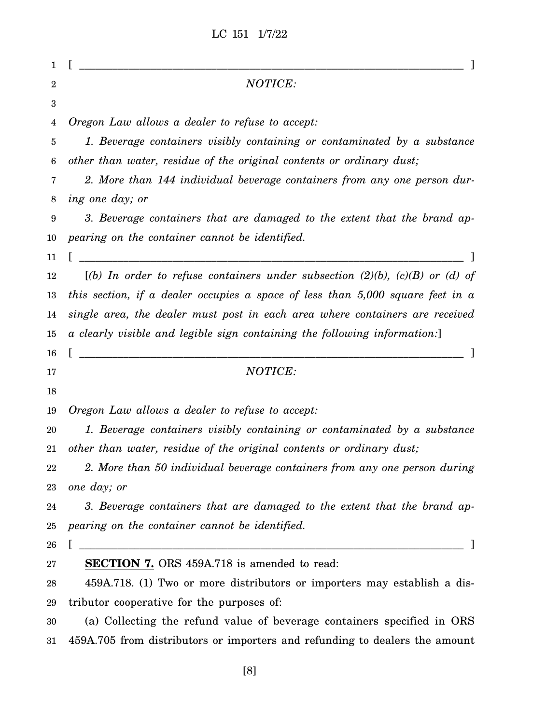LC 151 1/7/22

| 1      |                                                                                     |
|--------|-------------------------------------------------------------------------------------|
| 2      | NOTICE:                                                                             |
| 3      |                                                                                     |
| 4      | Oregon Law allows a dealer to refuse to accept:                                     |
| 5      | 1. Beverage containers visibly containing or contaminated by a substance            |
| 6      | other than water, residue of the original contents or ordinary dust;                |
| 7      | 2. More than 144 individual beverage containers from any one person dur-            |
| 8      | ing one day; or                                                                     |
| 9      | 3. Beverage containers that are damaged to the extent that the brand ap-            |
| 10     | pearing on the container cannot be identified.                                      |
| 11     |                                                                                     |
| 12     | [(b) In order to refuse containers under subsection $(2)(b)$ , $(c)(B)$ or $(d)$ of |
| 13     | this section, if a dealer occupies a space of less than $5,000$ square feet in a    |
| 14     | single area, the dealer must post in each area where containers are received        |
| 15     | a clearly visible and legible sign containing the following information:            |
| 16     |                                                                                     |
| 17     | NOTICE:                                                                             |
| 18     |                                                                                     |
| 19     | Oregon Law allows a dealer to refuse to accept:                                     |
| 20     | 1. Beverage containers visibly containing or contaminated by a substance            |
| 21     | other than water, residue of the original contents or ordinary dust;                |
| $22\,$ | 2. More than 50 individual beverage containers from any one person during           |
| 23     | one day; or                                                                         |
| 24     | 3. Beverage containers that are damaged to the extent that the brand ap-            |
| 25     | pearing on the container cannot be identified.                                      |
| 26     |                                                                                     |
| $27\,$ | <b>SECTION 7.</b> ORS 459A.718 is amended to read:                                  |
| 28     | 459A.718. (1) Two or more distributors or importers may establish a dis-            |
| 29     | tributor cooperative for the purposes of:                                           |
| 30     | (a) Collecting the refund value of beverage containers specified in ORS             |
| $31\,$ | 459A.705 from distributors or importers and refunding to dealers the amount         |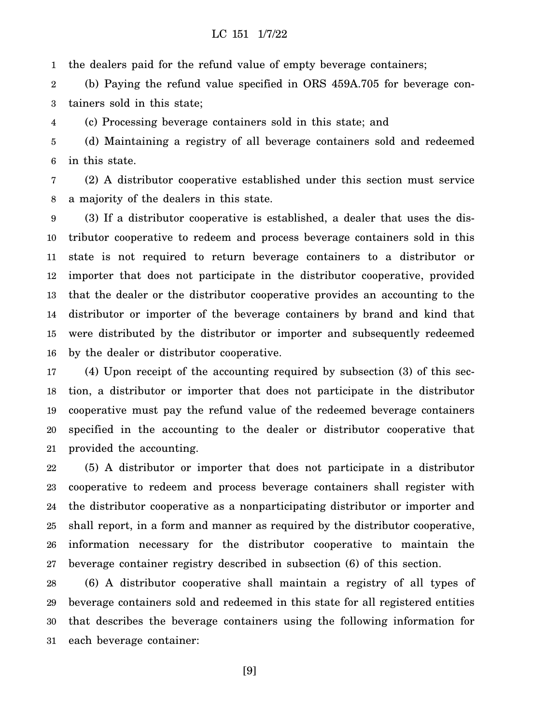1 the dealers paid for the refund value of empty beverage containers;

2 3 (b) Paying the refund value specified in ORS 459A.705 for beverage containers sold in this state;

4 (c) Processing beverage containers sold in this state; and

5 6 (d) Maintaining a registry of all beverage containers sold and redeemed in this state.

7 8 (2) A distributor cooperative established under this section must service a majority of the dealers in this state.

9 10 11 12 13 14 15 16 (3) If a distributor cooperative is established, a dealer that uses the distributor cooperative to redeem and process beverage containers sold in this state is not required to return beverage containers to a distributor or importer that does not participate in the distributor cooperative, provided that the dealer or the distributor cooperative provides an accounting to the distributor or importer of the beverage containers by brand and kind that were distributed by the distributor or importer and subsequently redeemed by the dealer or distributor cooperative.

17 18 19 20 21 (4) Upon receipt of the accounting required by subsection (3) of this section, a distributor or importer that does not participate in the distributor cooperative must pay the refund value of the redeemed beverage containers specified in the accounting to the dealer or distributor cooperative that provided the accounting.

22 23 24 25 26 27 (5) A distributor or importer that does not participate in a distributor cooperative to redeem and process beverage containers shall register with the distributor cooperative as a nonparticipating distributor or importer and shall report, in a form and manner as required by the distributor cooperative, information necessary for the distributor cooperative to maintain the beverage container registry described in subsection (6) of this section.

28 29 30 31 (6) A distributor cooperative shall maintain a registry of all types of beverage containers sold and redeemed in this state for all registered entities that describes the beverage containers using the following information for each beverage container:

[9]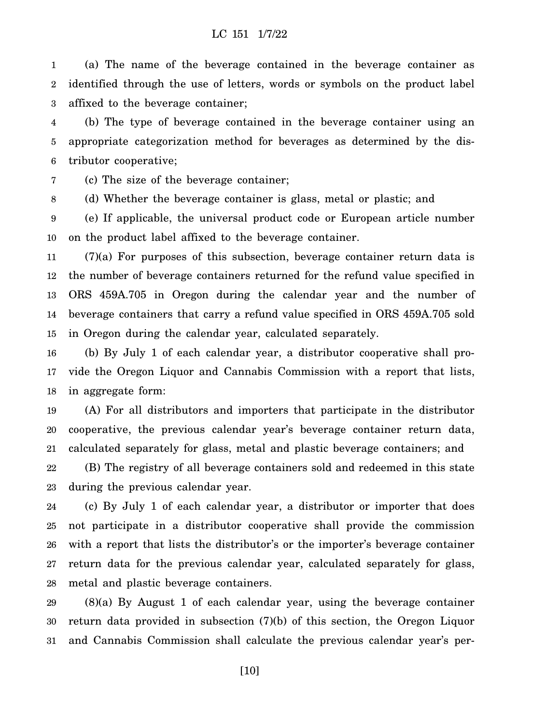1 2 3 (a) The name of the beverage contained in the beverage container as identified through the use of letters, words or symbols on the product label affixed to the beverage container;

4 5 6 (b) The type of beverage contained in the beverage container using an appropriate categorization method for beverages as determined by the distributor cooperative;

7 (c) The size of the beverage container;

8 (d) Whether the beverage container is glass, metal or plastic; and

9 10 (e) If applicable, the universal product code or European article number on the product label affixed to the beverage container.

11 12 13 14 15 (7)(a) For purposes of this subsection, beverage container return data is the number of beverage containers returned for the refund value specified in ORS 459A.705 in Oregon during the calendar year and the number of beverage containers that carry a refund value specified in ORS 459A.705 sold in Oregon during the calendar year, calculated separately.

16 17 18 (b) By July 1 of each calendar year, a distributor cooperative shall provide the Oregon Liquor and Cannabis Commission with a report that lists, in aggregate form:

19 20 21 (A) For all distributors and importers that participate in the distributor cooperative, the previous calendar year's beverage container return data, calculated separately for glass, metal and plastic beverage containers; and

22 23 (B) The registry of all beverage containers sold and redeemed in this state during the previous calendar year.

24 25 26 27 28 (c) By July 1 of each calendar year, a distributor or importer that does not participate in a distributor cooperative shall provide the commission with a report that lists the distributor's or the importer's beverage container return data for the previous calendar year, calculated separately for glass, metal and plastic beverage containers.

29 30 31 (8)(a) By August 1 of each calendar year, using the beverage container return data provided in subsection (7)(b) of this section, the Oregon Liquor and Cannabis Commission shall calculate the previous calendar year's per-

[10]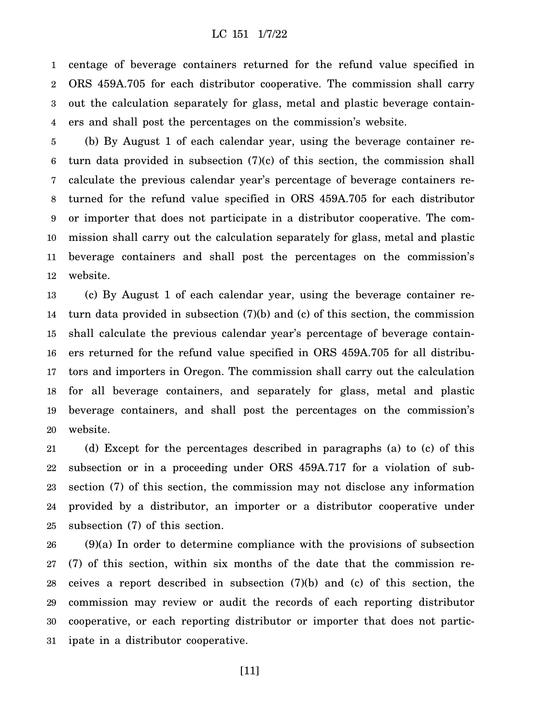1 2 3 4 centage of beverage containers returned for the refund value specified in ORS 459A.705 for each distributor cooperative. The commission shall carry out the calculation separately for glass, metal and plastic beverage containers and shall post the percentages on the commission's website.

5 6 7 8 9 10 11 12 (b) By August 1 of each calendar year, using the beverage container return data provided in subsection (7)(c) of this section, the commission shall calculate the previous calendar year's percentage of beverage containers returned for the refund value specified in ORS 459A.705 for each distributor or importer that does not participate in a distributor cooperative. The commission shall carry out the calculation separately for glass, metal and plastic beverage containers and shall post the percentages on the commission's website.

13 14 15 16 17 18 19 20 (c) By August 1 of each calendar year, using the beverage container return data provided in subsection (7)(b) and (c) of this section, the commission shall calculate the previous calendar year's percentage of beverage containers returned for the refund value specified in ORS 459A.705 for all distributors and importers in Oregon. The commission shall carry out the calculation for all beverage containers, and separately for glass, metal and plastic beverage containers, and shall post the percentages on the commission's website.

21 22 23 24 25 (d) Except for the percentages described in paragraphs (a) to (c) of this subsection or in a proceeding under ORS 459A.717 for a violation of subsection (7) of this section, the commission may not disclose any information provided by a distributor, an importer or a distributor cooperative under subsection (7) of this section.

26 27 28 29 30 31 (9)(a) In order to determine compliance with the provisions of subsection (7) of this section, within six months of the date that the commission receives a report described in subsection (7)(b) and (c) of this section, the commission may review or audit the records of each reporting distributor cooperative, or each reporting distributor or importer that does not participate in a distributor cooperative.

[11]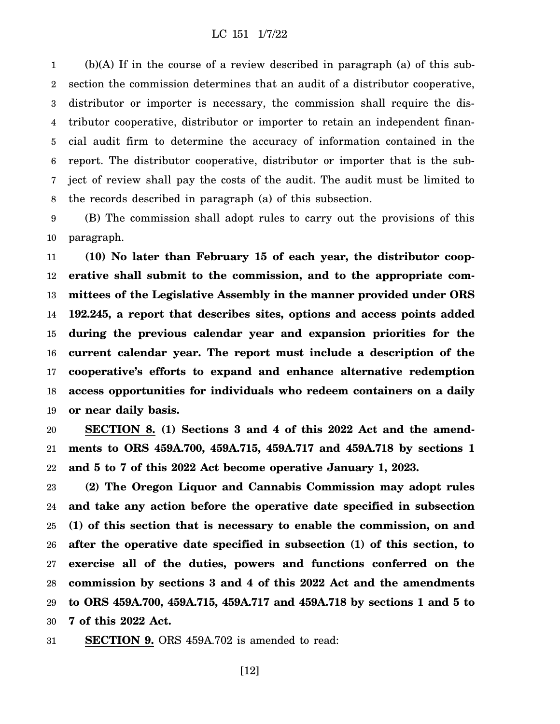1 2 3 4 5 6 7 8 (b)(A) If in the course of a review described in paragraph (a) of this subsection the commission determines that an audit of a distributor cooperative, distributor or importer is necessary, the commission shall require the distributor cooperative, distributor or importer to retain an independent financial audit firm to determine the accuracy of information contained in the report. The distributor cooperative, distributor or importer that is the subject of review shall pay the costs of the audit. The audit must be limited to the records described in paragraph (a) of this subsection.

9 10 (B) The commission shall adopt rules to carry out the provisions of this paragraph.

11 12 13 14 15 16 17 18 19 **(10) No later than February 15 of each year, the distributor cooperative shall submit to the commission, and to the appropriate committees of the Legislative Assembly in the manner provided under ORS 192.245, a report that describes sites, options and access points added during the previous calendar year and expansion priorities for the current calendar year. The report must include a description of the cooperative's efforts to expand and enhance alternative redemption access opportunities for individuals who redeem containers on a daily or near daily basis.**

20 21 22 **SECTION 8. (1) Sections 3 and 4 of this 2022 Act and the amendments to ORS 459A.700, 459A.715, 459A.717 and 459A.718 by sections 1 and 5 to 7 of this 2022 Act become operative January 1, 2023.**

23 24 25 26 27 28 29 30 **(2) The Oregon Liquor and Cannabis Commission may adopt rules and take any action before the operative date specified in subsection (1) of this section that is necessary to enable the commission, on and after the operative date specified in subsection (1) of this section, to exercise all of the duties, powers and functions conferred on the commission by sections 3 and 4 of this 2022 Act and the amendments to ORS 459A.700, 459A.715, 459A.717 and 459A.718 by sections 1 and 5 to 7 of this 2022 Act.**

31 **SECTION 9.** ORS 459A.702 is amended to read:

[12]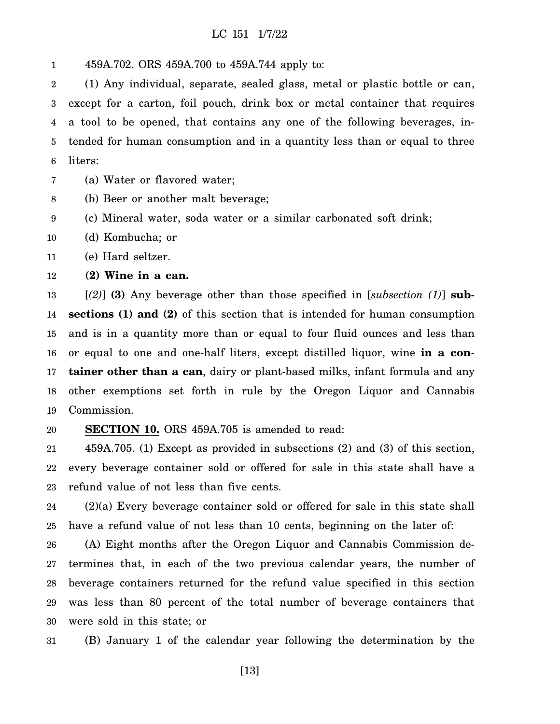1 459A.702. ORS 459A.700 to 459A.744 apply to:

2 3 4 5 6 (1) Any individual, separate, sealed glass, metal or plastic bottle or can, except for a carton, foil pouch, drink box or metal container that requires a tool to be opened, that contains any one of the following beverages, intended for human consumption and in a quantity less than or equal to three liters:

7 (a) Water or flavored water;

8 (b) Beer or another malt beverage;

9 (c) Mineral water, soda water or a similar carbonated soft drink;

10 (d) Kombucha; or

11 (e) Hard seltzer.

12 **(2) Wine in a can.**

13 14 15 16 17 18 19 [*(2)*] **(3)** Any beverage other than those specified in [*subsection (1)*] **subsections (1) and (2)** of this section that is intended for human consumption and is in a quantity more than or equal to four fluid ounces and less than or equal to one and one-half liters, except distilled liquor, wine **in a container other than a can**, dairy or plant-based milks, infant formula and any other exemptions set forth in rule by the Oregon Liquor and Cannabis Commission.

#### 20 **SECTION 10.** ORS 459A.705 is amended to read:

21 22 23 459A.705. (1) Except as provided in subsections (2) and (3) of this section, every beverage container sold or offered for sale in this state shall have a refund value of not less than five cents.

24 25 (2)(a) Every beverage container sold or offered for sale in this state shall have a refund value of not less than 10 cents, beginning on the later of:

26 27 28 29 30 (A) Eight months after the Oregon Liquor and Cannabis Commission determines that, in each of the two previous calendar years, the number of beverage containers returned for the refund value specified in this section was less than 80 percent of the total number of beverage containers that were sold in this state; or

31 (B) January 1 of the calendar year following the determination by the

[13]